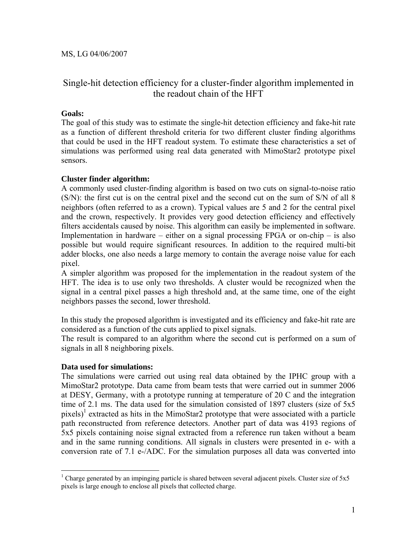# Single-hit detection efficiency for a cluster-finder algorithm implemented in the readout chain of the HFT

# **Goals:**

The goal of this study was to estimate the single-hit detection efficiency and fake-hit rate as a function of different threshold criteria for two different cluster finding algorithms that could be used in the HFT readout system. To estimate these characteristics a set of simulations was performed using real data generated with MimoStar2 prototype pixel sensors.

## **Cluster finder algorithm:**

A commonly used cluster-finding algorithm is based on two cuts on signal-to-noise ratio (S/N): the first cut is on the central pixel and the second cut on the sum of S/N of all 8 neighbors (often referred to as a crown). Typical values are 5 and 2 for the central pixel and the crown, respectively. It provides very good detection efficiency and effectively filters accidentals caused by noise. This algorithm can easily be implemented in software. Implementation in hardware – either on a signal processing FPGA or on-chip – is also possible but would require significant resources. In addition to the required multi-bit adder blocks, one also needs a large memory to contain the average noise value for each pixel.

A simpler algorithm was proposed for the implementation in the readout system of the HFT. The idea is to use only two thresholds. A cluster would be recognized when the signal in a central pixel passes a high threshold and, at the same time, one of the eight neighbors passes the second, lower threshold.

In this study the proposed algorithm is investigated and its efficiency and fake-hit rate are considered as a function of the cuts applied to pixel signals.

The result is compared to an algorithm where the second cut is performed on a sum of signals in all 8 neighboring pixels.

## **Data used for simulations:**

 $\overline{a}$ 

The simulations were carried out using real data obtained by the IPHC group with a MimoStar2 prototype. Data came from beam tests that were carried out in summer 2006 at DESY, Germany, with a prototype running at temperature of 20 C and the integration time of 2.1 ms. The data used for the simulation consisted of 1897 clusters (size of 5x5 pixels)<sup>[1](#page-0-0)</sup> extracted as hits in the MimoStar2 prototype that were associated with a particle path reconstructed from reference detectors. Another part of data was 4193 regions of 5x5 pixels containing noise signal extracted from a reference run taken without a beam and in the same running conditions. All signals in clusters were presented in e- with a conversion rate of 7.1 e-/ADC. For the simulation purposes all data was converted into

<span id="page-0-0"></span><sup>&</sup>lt;sup>1</sup> Charge generated by an impinging particle is shared between several adjacent pixels. Cluster size of  $5x5$ pixels is large enough to enclose all pixels that collected charge.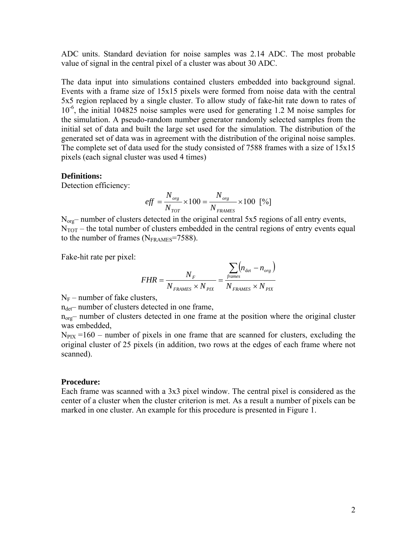ADC units. Standard deviation for noise samples was 2.14 ADC. The most probable value of signal in the central pixel of a cluster was about 30 ADC.

The data input into simulations contained clusters embedded into background signal. Events with a frame size of 15x15 pixels were formed from noise data with the central 5x5 region replaced by a single cluster. To allow study of fake-hit rate down to rates of 10-6, the initial 104825 noise samples were used for generating 1.2 M noise samples for the simulation. A pseudo-random number generator randomly selected samples from the initial set of data and built the large set used for the simulation. The distribution of the generated set of data was in agreement with the distribution of the original noise samples. The complete set of data used for the study consisted of 7588 frames with a size of 15x15 pixels (each signal cluster was used 4 times)

#### **Definitions:**

Detection efficiency:

$$
eff = \frac{N_{org}}{N_{TOT}} \times 100 = \frac{N_{org}}{N_{FRAMES}} \times 100 \text{ [%]}
$$

 $N_{org}$ – number of clusters detected in the original central 5x5 regions of all entry events,  $N<sub>TOT</sub>$  – the total number of clusters embedded in the central regions of entry events equal to the number of frames  $(N_{\text{FRAMES}}=7588)$ .

Fake-hit rate per pixel:

$$
FHR = \frac{N_F}{N_{FRAMES} \times N_{PK}} = \frac{\sum_{frames} (n_{\text{det}} - n_{\text{org}})}{N_{FRAMES} \times N_{PK}}
$$

 $N_F$  – number of fake clusters,

 $n_{\text{det}}$ – number of clusters detected in one frame,

 $n_{org}$ – number of clusters detected in one frame at the position where the original cluster was embedded,

 $N_{PIX}$  =160 – number of pixels in one frame that are scanned for clusters, excluding the original cluster of 25 pixels (in addition, two rows at the edges of each frame where not scanned).

#### **Procedure:**

Each frame was scanned with a 3x3 pixel window. The central pixel is considered as the center of a cluster when the cluster criterion is met. As a result a number of pixels can be marked in one cluster. An example for this procedure is presented in [Figure 1.](#page-2-0)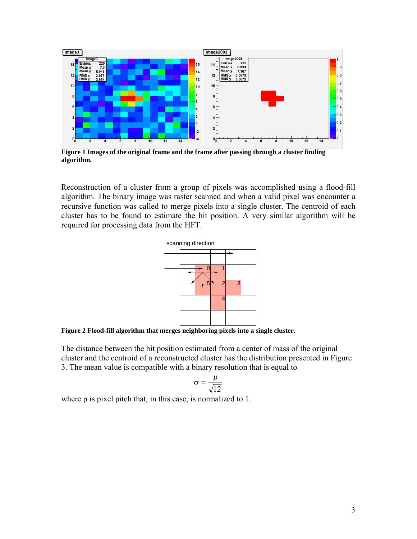<span id="page-2-0"></span>

**Figure 1 Images of the original frame and the frame after passing through a cluster finding algorithm.**

Reconstruction of a cluster from a group of pixels was accomplished using a flood-fill algorithm. The binary image was raster scanned and when a valid pixel was encounter a recursive function was called to merge pixels into a single cluster. The centroid of each cluster has to be found to estimate the hit position. A very similar algorithm will be required for processing data from the HFT.



**Figure 2 Flood-fill algorithm that merges neighboring pixels into a single cluster.** 

The distance between the hit position estimated from a center of mass of the original cluster and the centroid of a reconstructed cluster has the distribution presented in [Figure](#page-3-0)  [3.](#page-3-0) The mean value is compatible with a binary resolution that is equal to

$$
\sigma = \frac{p}{\sqrt{12}}
$$

where p is pixel pitch that, in this case, is normalized to 1.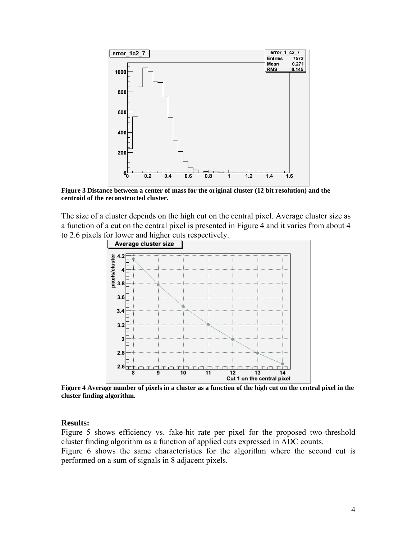<span id="page-3-0"></span>

**Figure 3 Distance between a center of mass for the original cluster (12 bit resolution) and the centroid of the reconstructed cluster.**

<span id="page-3-1"></span>The size of a cluster depends on the high cut on the central pixel. Average cluster size as a function of a cut on the central pixel is presented in [Figure 4](#page-3-1) and it varies from about 4 to 2.6 pixels for lower and higher cuts respectively.



**Figure 4 Average number of pixels in a cluster as a function of the high cut on the central pixel in the cluster finding algorithm.**

#### **Results:**

[Figure 5](#page-4-0) shows efficiency vs. fake-hit rate per pixel for the proposed two-threshold cluster finding algorithm as a function of applied cuts expressed in ADC counts. [Figure 6](#page-5-0) shows the same characteristics for the algorithm where the second cut is performed on a sum of signals in 8 adjacent pixels.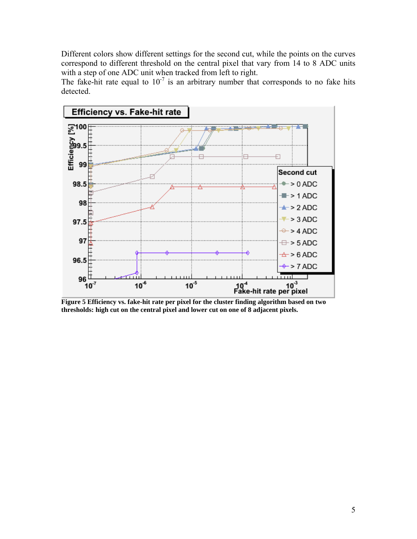Different colors show different settings for the second cut, while the points on the curves correspond to different threshold on the central pixel that vary from 14 to 8 ADC units with a step of one ADC unit when tracked from left to right.

The fake-hit rate equal to  $10^{-7}$  is an arbitrary number that corresponds to no fake hits detected.

<span id="page-4-0"></span>

**Figure 5 Efficiency vs. fake-hit rate per pixel for the cluster finding algorithm based on two thresholds: high cut on the central pixel and lower cut on one of 8 adjacent pixels.**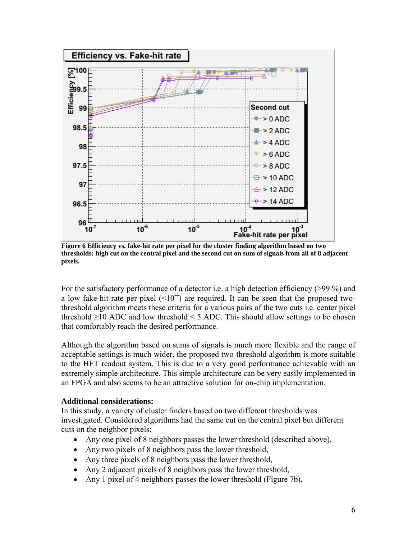<span id="page-5-0"></span>

**Figure 6 Efficiency vs. fake-hit rate per pixel for the cluster finding algorithm based on two thresholds: high cut on the central pixel and the second cut on sum of signals from all of 8 adjacent pixels.** 

For the satisfactory performance of a detector i.e. a high detection efficiency (>99 %) and a low fake-hit rate per pixel  $(<10<sup>-4</sup>)$  are required. It can be seen that the proposed twothreshold algorithm meets these criteria for a various pairs of the two cuts i.e. center pixel threshold  $\geq$ 10 ADC and low threshold < 5 ADC. This should allow settings to be chosen that comfortably reach the desired performance.

Although the algorithm based on sums of signals is much more flexible and the range of acceptable settings is much wider, the proposed two-threshold algorithm is more suitable to the HFT readout system. This is due to a very good performance achievable with an extremely simple architecture. This simple architecture can be very easily implemented in an FPGA and also seems to be an attractive solution for on-chip implementation.

## **Additional considerations:**

In this study, a variety of cluster finders based on two different thresholds was investigated. Considered algorithms had the same cut on the central pixel but different cuts on the neighbor pixels:

- Any one pixel of 8 neighbors passes the lower threshold (described above),
- Any two pixels of 8 neighbors pass the lower threshold,
- Any three pixels of 8 neighbors pass the lower threshold,
- Any 2 adjacent pixels of 8 neighbors pass the lower threshold,
- Any 1 pixel of 4 neighbors passes the lower threshold ([Figure 7b](#page-6-0)),